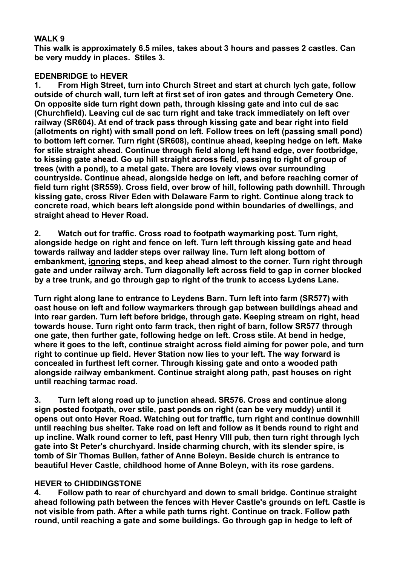## **WALK 9**

**This walk is approximately 6.5 miles, takes about 3 hours and passes 2 castles. Can be very muddy in places. Stiles 3.**

## **EDENBRIDGE to HEVER**

**1. From High Street, turn into Church Street and start at church lych gate, follow outside of church wall, turn left at first set of iron gates and through Cemetery One. On opposite side turn right down path, through kissing gate and into cul de sac (Churchfield). Leaving cul de sac turn right and take track immediately on left over railway (SR604). At end of track pass through kissing gate and bear right into field (allotments on right) with small pond on left. Follow trees on left (passing small pond) to bottom left corner. Turn right (SR608), continue ahead, keeping hedge on left. Make for stile straight ahead. Continue through field along left hand edge, over footbridge, to kissing gate ahead. Go up hill straight across field, passing to right of group of trees (with a pond), to a metal gate. There are lovely views over surrounding countryside. Continue ahead, alongside hedge on left, and before reaching corner of field turn right (SR559). Cross field, over brow of hill, following path downhill. Through kissing gate, cross River Eden with Delaware Farm to right. Continue along track to concrete road, which bears left alongside pond within boundaries of dwellings, and straight ahead to Hever Road.**

**2. Watch out for traffic. Cross road to footpath waymarking post. Turn right, alongside hedge on right and fence on left. Turn left through kissing gate and head towards railway and ladder steps over railway line. Turn left along bottom of embankment, ignoring steps, and keep ahead almost to the corner. Turn right through gate and under railway arch. Turn diagonally left across field to gap in corner blocked by a tree trunk, and go through gap to right of the trunk to access Lydens Lane.**

**Turn right along lane to entrance to Leydens Barn. Turn left into farm (SR577) with oast house on left and follow waymarkers through gap between buildings ahead and into rear garden. Turn left before bridge, through gate. Keeping stream on right, head towards house. Turn right onto farm track, then right of barn, follow SR577 through one gate, then further gate, following hedge on left. Cross stile. At bend in hedge, where it goes to the left, continue straight across field aiming for power pole, and turn right to continue up field. Hever Station now lies to your left. The way forward is concealed in furthest left corner. Through kissing gate and onto a wooded path alongside railway embankment. Continue straight along path, past houses on right until reaching tarmac road.**

**3. Turn left along road up to junction ahead. SR576. Cross and continue along sign posted footpath, over stile, past ponds on right (can be very muddy) until it opens out onto Hever Road. Watching out for traffic, turn right and continue downhill until reaching bus shelter. Take road on left and follow as it bends round to right and up incline. Walk round corner to left, past Henry VIII pub, then turn right through lych gate into St Peter's churchyard. Inside charming church, with its slender spire, is tomb of Sir Thomas Bullen, father of Anne Boleyn. Beside church is entrance to beautiful Hever Castle, childhood home of Anne Boleyn, with its rose gardens.**

## **HEVER to CHIDDINGSTONE**

**4. Follow path to rear of churchyard and down to small bridge. Continue straight ahead following path between the fences with Hever Castle's grounds on left. Castle is not visible from path. After a while path turns right. Continue on track. Follow path round, until reaching a gate and some buildings. Go through gap in hedge to left of**